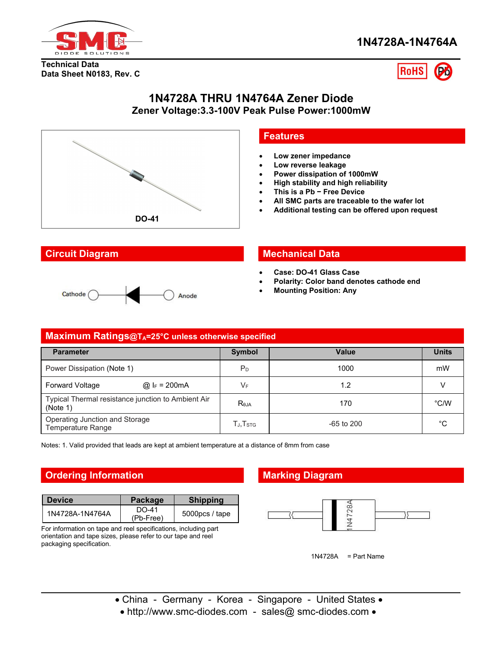

**Technical Data Data Sheet N0183, Rev. C**



## **1N4728A THRU 1N4764A Zener Diode Zener Voltage:3.3-100V Peak Pulse Power:1000mW**



## **Features**

- **Low zener impedance**
- **Low reverse leakage**
- **Power dissipation of 1000mW**
- **High stability and high reliability**
- **This is a Pb − Free Device**
- **All SMC parts are traceable to the wafer lot**
- **Additional testing can be offered upon request**



## **Circuit Diagram Mechanical Data**

- **Case: DO-41 Glass Case**
- **Polarity: Color band denotes cathode end**
- **Mounting Position: Any**

| Maximum Ratings@TA=25°C unless otherwise specified             |  |                                                      |              |               |
|----------------------------------------------------------------|--|------------------------------------------------------|--------------|---------------|
| <b>Parameter</b>                                               |  | <b>Symbol</b>                                        | <b>Value</b> | <b>Units</b>  |
| Power Dissipation (Note 1)                                     |  | $P_D$                                                | 1000         | mW            |
| @ $F = 200 \text{mA}$<br><b>Forward Voltage</b>                |  | VF                                                   | 1.2          |               |
| Typical Thermal resistance junction to Ambient Air<br>(Note 1) |  | $R_{\theta$ JA                                       | 170          | $\degree$ C/W |
| Operating Junction and Storage<br>Temperature Range            |  | $\mathsf{T}_{\mathsf{J}}, \mathsf{T}_{\mathsf{STG}}$ | -65 to 200   | $^{\circ}C$   |

Notes: 1. Valid provided that leads are kept at ambient temperature at a distance of 8mm from case

## **Ordering Information Marking Diagram**

| <b>Device</b>   | Package            | <b>Shipping</b> |
|-----------------|--------------------|-----------------|
| 1N4728A-1N4764A | DO-41<br>(Pb-Free) | $5000pcs/$ tape |

For information on tape and reel specifications, including part orientation and tape sizes, please refer to our tape and reel packaging specification.



1N4728A = Part Name

- China Germany Korea Singapore United States •
- http://www.smc-diodes.com sales@ smc-diodes.com •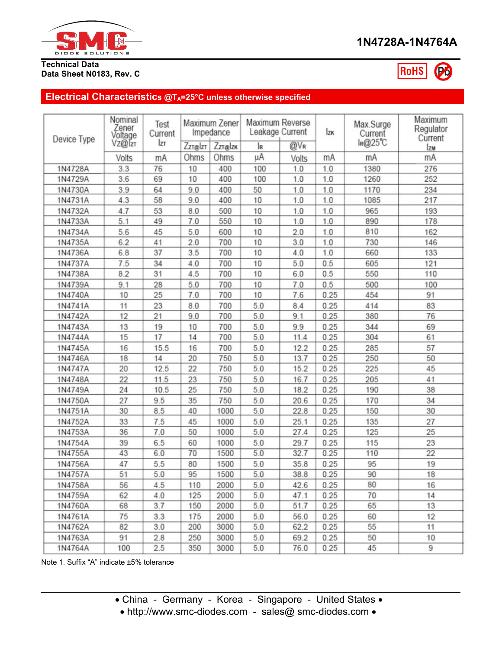

### **Technical Data Data Sheet N0183, Rev. C**

RoHS

# **Electrical Characteristics @TA=25°C unless otherwise specified**

| Nominal<br>Zener<br>Voltage |        | Test<br>Current | Maximum Zener<br>Impedance |         | Maximum Reverse<br>Leakage Current |       | <b>Izk</b> | Max.Surge<br>Current | Maximum<br>Regulator<br>Current |
|-----------------------------|--------|-----------------|----------------------------|---------|------------------------------------|-------|------------|----------------------|---------------------------------|
| Device Type                 | Vz@Tzt | lzr             | <b>Zzr</b> elzt            | Zzr@lzk | IR                                 | @VR   |            | IR@25℃               | <b>Izm</b>                      |
|                             | Volts  | mA              | Ohms                       | Ohms    | μA                                 | Volts | mA         | mA                   | mA                              |
| 1N4728A                     | 3.3    | 76              | 10                         | 400     | 100                                | 1.0   | 1.0        | 1380                 | 276                             |
| 1N4729A                     | 3.6    | 69              | 10                         | 400     | 100                                | 1.0   | 1.0        | 1260                 | 252                             |
| 1N4730A                     | 3.9    | 64              | 9.0                        | 400     | 50                                 | 1.0   | 1.0        | 1170                 | 234                             |
| 1N4731A                     | 4.3    | 58              | 9.0                        | 400     | 10                                 | 1.0   | 1.0        | 1085                 | 217                             |
| 1N4732A                     | 4.7    | 53              | 8.0                        | 500     | 10                                 | 1.0   | 1.0        | 965                  | 193                             |
| 1N4733A                     | 5.1    | 49              | 7.0                        | 550     | 10                                 | 1.0   | 1.0        | 890                  | 178                             |
| 1N4734A                     | 5.6    | 45              | 5.0                        | 600     | 10                                 | 2.0   | 1.0        | 810                  | 162                             |
| 1N4735A                     | 6.2    | 41              | 2.0                        | 700     | 10                                 | 3.0   | 1.0        | 730                  | 146                             |
| 1N4736A                     | 6.8    | 37              | 3.5                        | 700     | 10                                 | 4.0   | 1.0        | 660                  | 133                             |
| 1N4737A                     | 7.5    | 34              | 4.0                        | 700     | 10                                 | 5.0   | 0.5        | 605                  | 121                             |
| 1N4738A                     | 8.2    | 31              | 4.5                        | 700     | 10                                 | 6.0   | 0.5        | 550                  | 110                             |
| 1N4739A                     | 9.1    | 28              | 5.0                        | 700     | 10                                 | 7.0   | 0.5        | 500                  | 100                             |
| 1N4740A                     | 10     | 25              | 7.0                        | 700     | 10                                 | 7.6   | 0.25       | 454                  | 91                              |
| 1N4741A                     | 11     | 23              | 8.0                        | 700     | 5.0                                | 8.4   | 0.25       | 414                  | 83                              |
| 1N4742A                     | 12     | 21              | 9.0                        | 700     | 5.0                                | 9.1   | 0.25       | 380                  | 76                              |
| 1N4743A                     | 13     | 19              | 10                         | 700     | 5.0                                | 9.9   | 0.25       | 344                  | 69                              |
| 1N4744A                     | 15     | 17              | 14                         | 700     | 5.0                                | 11.4  | 0.25       | 304                  | 61                              |
| 1N4745A                     | 16     | 15.5            | 16                         | 700     | 5.0                                | 12.2  | 0.25       | 285                  | 57                              |
| 1N4746A                     | 18     | 14              | 20                         | 750     | 5.0                                | 13.7  | 0.25       | 250                  | 50                              |
| 1N4747A                     | 20     | 12.5            | 22                         | 750     | 5.0                                | 15.2  | 0.25       | 225                  | 45                              |
| 1N4748A                     | 22     | 11.5            | 23                         | 750     | 5.0                                | 16.7  | 0.25       | 205                  | 41                              |
| 1N4749A                     | 24     | 10.5            | 25                         | 750     | 5.0                                | 18.2  | 0.25       | 190                  | 38                              |
| 1N4750A                     | 27     | 9.5             | 35                         | 750     | 5.0                                | 20.6  | 0.25       | 170                  | 34                              |
| 1N4751A                     | 30     | 8.5             | 40                         | 1000    | 5.0                                | 22.8  | 0.25       | 150                  | 30                              |
| 1N4752A                     | 33     | 7.5             | 45                         | 1000    | 5.0                                | 25.1  | 0.25       | 135                  | 27                              |
| 1N4753A                     | 36     | 7.0             | 50                         | 1000    | 5.0                                | 27.4  | 0.25       | 125                  | 25                              |
| 1N4754A                     | 39     | 6.5             | 60                         | 1000    | 5.0                                | 29.7  | 0.25       | 115                  | 23                              |
| 1N4755A                     | 43     | 6.0             | 70                         | 1500    | 5.0                                | 32.7  | 0.25       | 110                  | $\overline{22}$                 |
| 1N4756A                     | 47     | 5.5             | 80                         | 1500    | 5.0                                | 35.8  | 0.25       | 95                   | 19                              |
| 1N4757A                     | 51     | 5.0             | 95                         | 1500    | 5.0                                | 38.8  | 0.25       | 90                   | 18                              |
| 1N4758A                     | 56     | 4.5             | 110                        | 2000    | 5.0                                | 42.6  | 0.25       | 80                   | 16                              |
| 1N4759A                     | 62     | 4.0             | 125                        | 2000    | 5.0                                | 47.1  | 0.25       | 70                   | 14                              |
| 1N4760A                     | 68     | 3.7             | 150                        | 2000    | 5.0                                | 51.7  | 0.25       | 65                   | 13                              |
| 1N4761A                     | 75     | 3.3             | 175                        | 2000    | 5.0                                | 56.0  | 0.25       | 60                   | 12                              |
| 1N4762A                     | 82     | 3.0             | 200                        | 3000    | 5.0                                | 62.2  | 0.25       | 55                   | 11                              |
| 1N4763A                     | 91     | 2.8             | 250                        | 3000    | 5.0                                | 69.2  | 0.25       | 50                   | 10                              |
| 1N4764A                     | 100    | 2.5             | 350                        | 3000    | 5.0                                | 76.0  | 0.25       | 45                   | 9                               |

Note 1. Suffix "A" indicate ±5% tolerance

• http://www.smc-diodes.com - sales@ smc-diodes.com •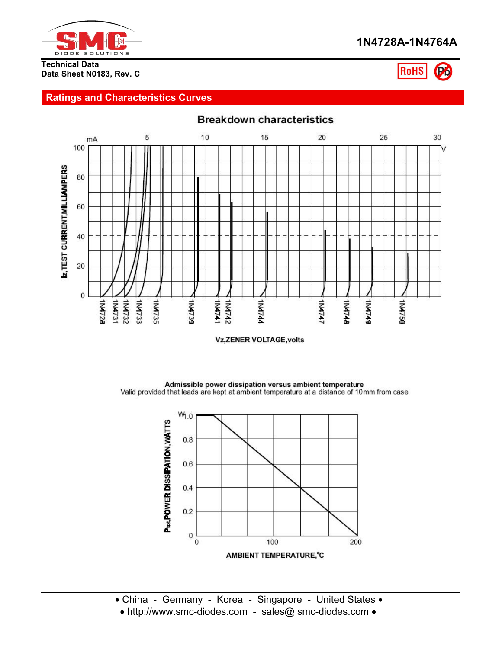

#### **Technical Data Data Sheet N0183, Rev. C**



# **Ratings and Characteristics Curves**



**Vz, ZENER VOLTAGE, volts** 

Admissible power dissipation versus ambient temperature Valid provided that leads are kept at ambient temperature at a distance of 10mm from case

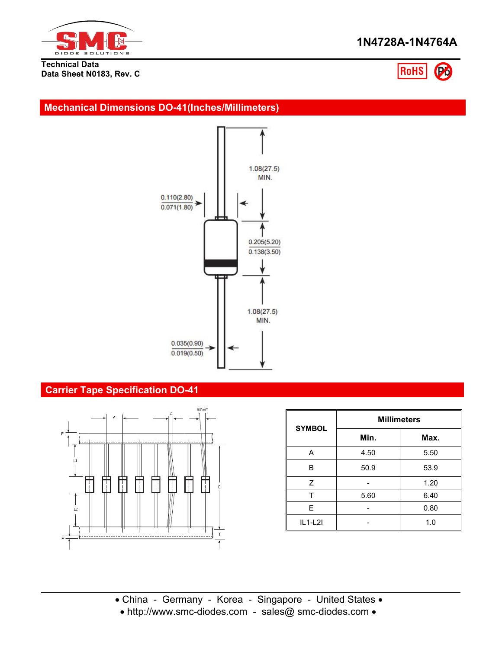

**Technical Data Data Sheet N0183, Rev. C**



## **Mechanical Dimensions DO-41(Inches/Millimeters)**



# **Carrier Tape Specification DO-41**



| <b>SYMBOL</b> | <b>Millimeters</b> |      |  |  |  |
|---------------|--------------------|------|--|--|--|
|               | Min.               | Max. |  |  |  |
| Α             | 4.50               | 5.50 |  |  |  |
| B             | 50.9               | 53.9 |  |  |  |
| Z             |                    | 1.20 |  |  |  |
|               | 5.60               | 6.40 |  |  |  |
| E.            |                    | 0.80 |  |  |  |
| $IL1-L2I$     |                    | 1.0  |  |  |  |